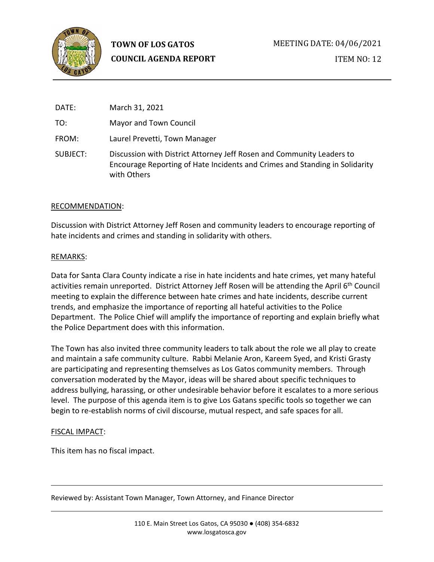

ITEM NO: 12

| DATE:    | March 31, 2021                                                                                                                                                      |
|----------|---------------------------------------------------------------------------------------------------------------------------------------------------------------------|
| TO:      | Mayor and Town Council                                                                                                                                              |
| FROM:    | Laurel Prevetti, Town Manager                                                                                                                                       |
| SUBJECT: | Discussion with District Attorney Jeff Rosen and Community Leaders to<br>Encourage Reporting of Hate Incidents and Crimes and Standing in Solidarity<br>with Others |

## RECOMMENDATION:

Discussion with District Attorney Jeff Rosen and community leaders to encourage reporting of hate incidents and crimes and standing in solidarity with others.

## REMARKS:

Data for Santa Clara County indicate a rise in hate incidents and hate crimes, yet many hateful activities remain unreported. District Attorney Jeff Rosen will be attending the April 6<sup>th</sup> Council meeting to explain the difference between hate crimes and hate incidents, describe current trends, and emphasize the importance of reporting all hateful activities to the Police Department. The Police Chief will amplify the importance of reporting and explain briefly what the Police Department does with this information.

The Town has also invited three community leaders to talk about the role we all play to create and maintain a safe community culture. Rabbi Melanie Aron, Kareem Syed, and Kristi Grasty are participating and representing themselves as Los Gatos community members. Through conversation moderated by the Mayor, ideas will be shared about specific techniques to address bullying, harassing, or other undesirable behavior before it escalates to a more serious level. The purpose of this agenda item is to give Los Gatans specific tools so together we can begin to re-establish norms of civil discourse, mutual respect, and safe spaces for all.

## FISCAL IMPACT:

This item has no fiscal impact.

Reviewed by: Assistant Town Manager, Town Attorney, and Finance Director